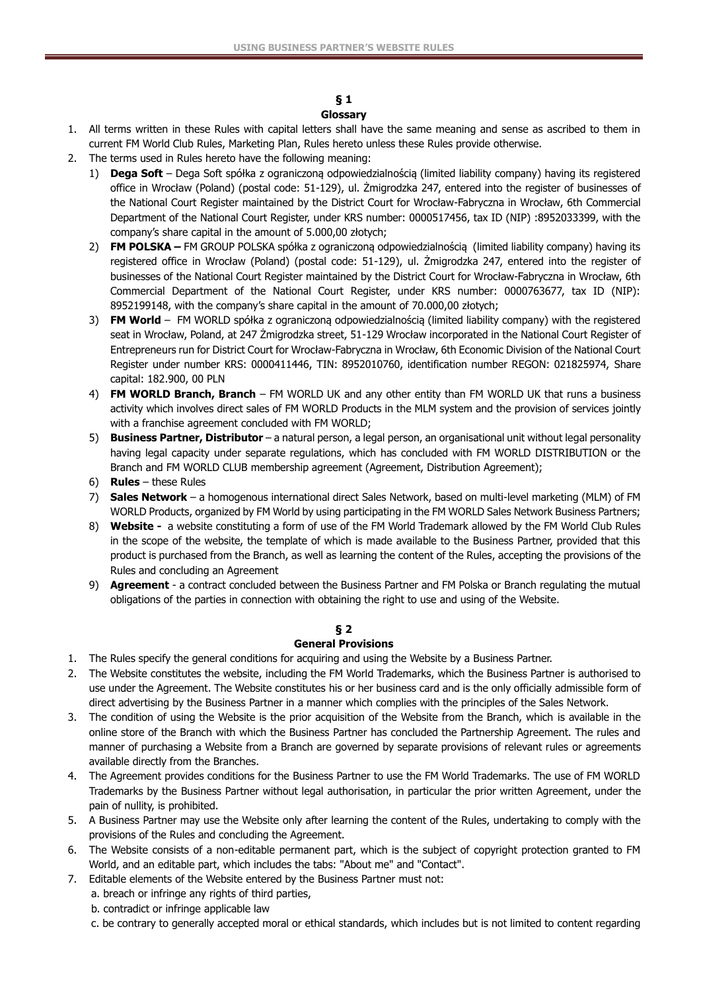#### **§ 1 Glossary**

- 1. All terms written in these Rules with capital letters shall have the same meaning and sense as ascribed to them in current FM World Club Rules, Marketing Plan, Rules hereto unless these Rules provide otherwise.
- 2. The terms used in Rules hereto have the following meaning:
	- 1) **Dega Soft** Dega Soft spółka z ograniczoną odpowiedzialnością (limited liability company) having its registered office in Wrocław (Poland) (postal code: 51-129), ul. Żmigrodzka 247, entered into the register of businesses of the National Court Register maintained by the District Court for Wrocław-Fabryczna in Wrocław, 6th Commercial Department of the National Court Register, under KRS number: 0000517456, tax ID (NIP) :8952033399, with the company's share capital in the amount of 5.000,00 złotych;
	- 2) **FM POLSKA –** FM GROUP POLSKA spółka z ograniczoną odpowiedzialnością (limited liability company) having its registered office in Wrocław (Poland) (postal code: 51-129), ul. Żmigrodzka 247, entered into the register of businesses of the National Court Register maintained by the District Court for Wrocław-Fabryczna in Wrocław, 6th Commercial Department of the National Court Register, under KRS number: 0000763677, tax ID (NIP): 8952199148, with the company's share capital in the amount of 70.000,00 złotych;
	- 3) **FM World** FM WORLD spółka z ograniczoną odpowiedzialnością (limited liability company) with the registered seat in Wrocław, Poland, at 247 Żmigrodzka street, 51-129 Wrocław incorporated in the National Court Register of Entrepreneurs run for District Court for Wrocław-Fabryczna in Wrocław, 6th Economic Division of the National Court Register under number KRS: 0000411446, TIN: 8952010760, identification number REGON: 021825974, Share capital: 182.900, 00 PLN
	- 4) **FM WORLD Branch, Branch** FM WORLD UK and any other entity than FM WORLD UK that runs a business activity which involves direct sales of FM WORLD Products in the MLM system and the provision of services jointly with a franchise agreement concluded with FM WORLD;
	- 5) **Business Partner, Distributor**  a natural person, a legal person, an organisational unit without legal personality having legal capacity under separate regulations, which has concluded with FM WORLD DISTRIBUTION or the Branch and FM WORLD CLUB membership agreement (Agreement, Distribution Agreement);
	- 6) **Rules**  these Rules
	- 7) **Sales Network** a homogenous international direct Sales Network, based on multi-level marketing (MLM) of FM WORLD Products, organized by FM World by using participating in the FM WORLD Sales Network Business Partners;
	- 8) **Website** a website constituting a form of use of the FM World Trademark allowed by the FM World Club Rules in the scope of the website, the template of which is made available to the Business Partner, provided that this product is purchased from the Branch, as well as learning the content of the Rules, accepting the provisions of the Rules and concluding an Agreement
	- 9) **Agreement** a contract concluded between the Business Partner and FM Polska or Branch regulating the mutual obligations of the parties in connection with obtaining the right to use and using of the Website.

# **§ 2**

# **General Provisions**

- 1. The Rules specify the general conditions for acquiring and using the Website by a Business Partner.
- 2. The Website constitutes the website, including the FM World Trademarks, which the Business Partner is authorised to use under the Agreement. The Website constitutes his or her business card and is the only officially admissible form of direct advertising by the Business Partner in a manner which complies with the principles of the Sales Network.
- 3. The condition of using the Website is the prior acquisition of the Website from the Branch, which is available in the online store of the Branch with which the Business Partner has concluded the Partnership Agreement. The rules and manner of purchasing a Website from a Branch are governed by separate provisions of relevant rules or agreements available directly from the Branches.
- 4. The Agreement provides conditions for the Business Partner to use the FM World Trademarks. The use of FM WORLD Trademarks by the Business Partner without legal authorisation, in particular the prior written Agreement, under the pain of nullity, is prohibited.
- 5. A Business Partner may use the Website only after learning the content of the Rules, undertaking to comply with the provisions of the Rules and concluding the Agreement.
- 6. The Website consists of a non-editable permanent part, which is the subject of copyright protection granted to FM World, and an editable part, which includes the tabs: "About me" and "Contact".
- 7. Editable elements of the Website entered by the Business Partner must not:
	- a. breach or infringe any rights of third parties,
		- b. contradict or infringe applicable law
		- c. be contrary to generally accepted moral or ethical standards, which includes but is not limited to content regarding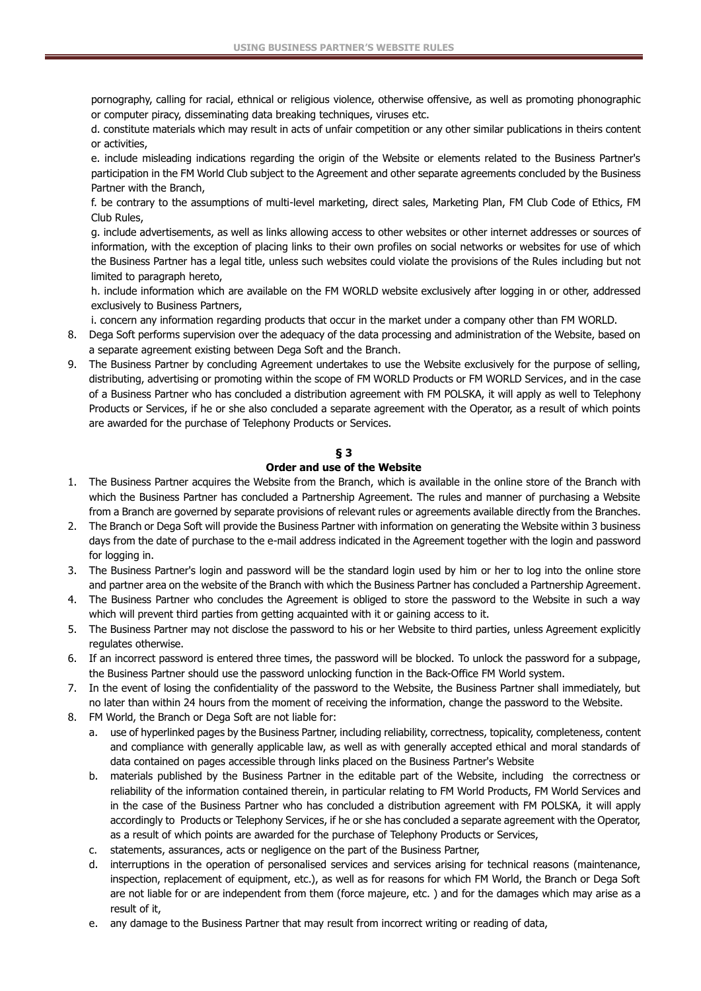pornography, calling for racial, ethnical or religious violence, otherwise offensive, as well as promoting phonographic or computer piracy, disseminating data breaking techniques, viruses etc.

d. constitute materials which may result in acts of unfair competition or any other similar publications in theirs content or activities,

e. include misleading indications regarding the origin of the Website or elements related to the Business Partner's participation in the FM World Club subject to the Agreement and other separate agreements concluded by the Business Partner with the Branch,

f. be contrary to the assumptions of multi-level marketing, direct sales, Marketing Plan, FM Club Code of Ethics, FM Club Rules,

g. include advertisements, as well as links allowing access to other websites or other internet addresses or sources of information, with the exception of placing links to their own profiles on social networks or websites for use of which the Business Partner has a legal title, unless such websites could violate the provisions of the Rules including but not limited to paragraph hereto,

h. include information which are available on the FM WORLD website exclusively after logging in or other, addressed exclusively to Business Partners,

i. concern any information regarding products that occur in the market under a company other than FM WORLD.

- 8. Dega Soft performs supervision over the adequacy of the data processing and administration of the Website, based on a separate agreement existing between Dega Soft and the Branch.
- 9. The Business Partner by concluding Agreement undertakes to use the Website exclusively for the purpose of selling, distributing, advertising or promoting within the scope of FM WORLD Products or FM WORLD Services, and in the case of a Business Partner who has concluded a distribution agreement with FM POLSKA, it will apply as well to Telephony Products or Services, if he or she also concluded a separate agreement with the Operator, as a result of which points are awarded for the purchase of Telephony Products or Services.

#### **§ 3**

#### **Order and use of the Website**

- 1. The Business Partner acquires the Website from the Branch, which is available in the online store of the Branch with which the Business Partner has concluded a Partnership Agreement. The rules and manner of purchasing a Website from a Branch are governed by separate provisions of relevant rules or agreements available directly from the Branches.
- 2. The Branch or Dega Soft will provide the Business Partner with information on generating the Website within 3 business days from the date of purchase to the e-mail address indicated in the Agreement together with the login and password for logging in.
- 3. The Business Partner's login and password will be the standard login used by him or her to log into the online store and partner area on the website of the Branch with which the Business Partner has concluded a Partnership Agreement.
- 4. The Business Partner who concludes the Agreement is obliged to store the password to the Website in such a way which will prevent third parties from getting acquainted with it or gaining access to it.
- 5. The Business Partner may not disclose the password to his or her Website to third parties, unless Agreement explicitly regulates otherwise.
- 6. If an incorrect password is entered three times, the password will be blocked. To unlock the password for a subpage, the Business Partner should use the password unlocking function in the Back-Office FM World system.
- 7. In the event of losing the confidentiality of the password to the Website, the Business Partner shall immediately, but no later than within 24 hours from the moment of receiving the information, change the password to the Website.
- 8. FM World, the Branch or Dega Soft are not liable for:
	- a. use of hyperlinked pages by the Business Partner, including reliability, correctness, topicality, completeness, content and compliance with generally applicable law, as well as with generally accepted ethical and moral standards of data contained on pages accessible through links placed on the Business Partner's Website
	- b. materials published by the Business Partner in the editable part of the Website, including the correctness or reliability of the information contained therein, in particular relating to FM World Products, FM World Services and in the case of the Business Partner who has concluded a distribution agreement with FM POLSKA, it will apply accordingly to Products or Telephony Services, if he or she has concluded a separate agreement with the Operator, as a result of which points are awarded for the purchase of Telephony Products or Services,
	- c. statements, assurances, acts or negligence on the part of the Business Partner,
	- d. interruptions in the operation of personalised services and services arising for technical reasons (maintenance, inspection, replacement of equipment, etc.), as well as for reasons for which FM World, the Branch or Dega Soft are not liable for or are independent from them (force majeure, etc. ) and for the damages which may arise as a result of it,
	- e. any damage to the Business Partner that may result from incorrect writing or reading of data,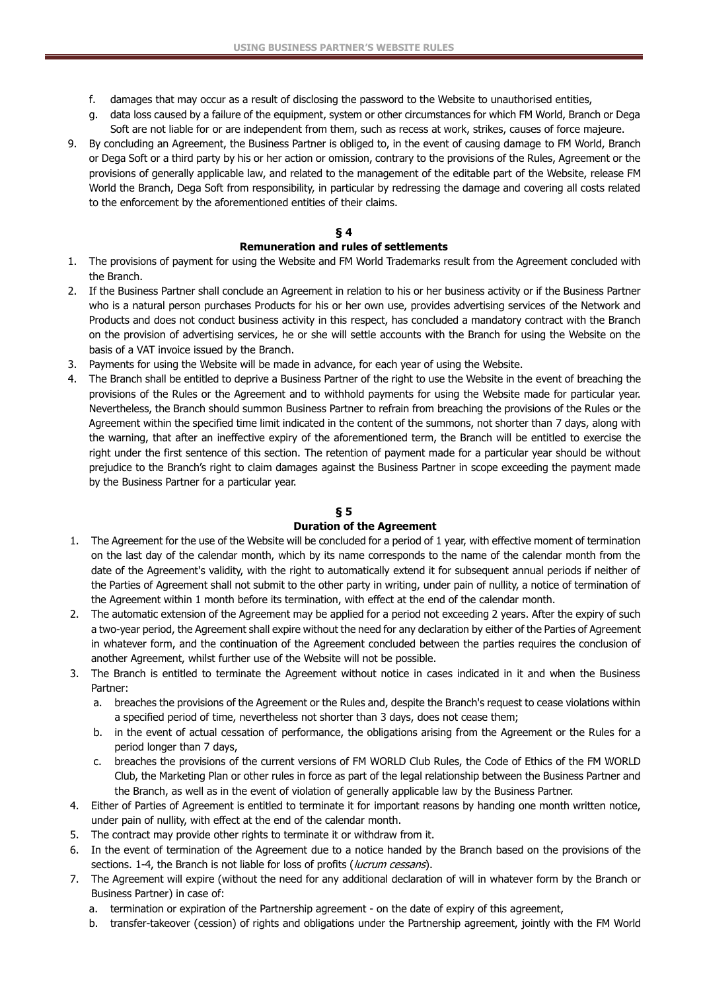- f. damages that may occur as a result of disclosing the password to the Website to unauthorised entities,
- g. data loss caused by a failure of the equipment, system or other circumstances for which FM World, Branch or Dega Soft are not liable for or are independent from them, such as recess at work, strikes, causes of force majeure.
- 9. By concluding an Agreement, the Business Partner is obliged to, in the event of causing damage to FM World, Branch or Dega Soft or a third party by his or her action or omission, contrary to the provisions of the Rules, Agreement or the provisions of generally applicable law, and related to the management of the editable part of the Website, release FM World the Branch, Dega Soft from responsibility, in particular by redressing the damage and covering all costs related to the enforcement by the aforementioned entities of their claims.

# **§ 4**

### **Remuneration and rules of settlements**

- 1. The provisions of payment for using the Website and FM World Trademarks result from the Agreement concluded with the Branch.
- 2. If the Business Partner shall conclude an Agreement in relation to his or her business activity or if the Business Partner who is a natural person purchases Products for his or her own use, provides advertising services of the Network and Products and does not conduct business activity in this respect, has concluded a mandatory contract with the Branch on the provision of advertising services, he or she will settle accounts with the Branch for using the Website on the basis of a VAT invoice issued by the Branch.
- 3. Payments for using the Website will be made in advance, for each year of using the Website.
- 4. The Branch shall be entitled to deprive a Business Partner of the right to use the Website in the event of breaching the provisions of the Rules or the Agreement and to withhold payments for using the Website made for particular year. Nevertheless, the Branch should summon Business Partner to refrain from breaching the provisions of the Rules or the Agreement within the specified time limit indicated in the content of the summons, not shorter than 7 days, along with the warning, that after an ineffective expiry of the aforementioned term, the Branch will be entitled to exercise the right under the first sentence of this section. The retention of payment made for a particular year should be without prejudice to the Branch's right to claim damages against the Business Partner in scope exceeding the payment made by the Business Partner for a particular year.

# **§ 5**

#### **Duration of the Agreement**

- 1. The Agreement for the use of the Website will be concluded for a period of 1 year, with effective moment of termination on the last day of the calendar month, which by its name corresponds to the name of the calendar month from the date of the Agreement's validity, with the right to automatically extend it for subsequent annual periods if neither of the Parties of Agreement shall not submit to the other party in writing, under pain of nullity, a notice of termination of the Agreement within 1 month before its termination, with effect at the end of the calendar month.
- 2. The automatic extension of the Agreement may be applied for a period not exceeding 2 years. After the expiry of such a two-year period, the Agreement shall expire without the need for any declaration by either of the Parties of Agreement in whatever form, and the continuation of the Agreement concluded between the parties requires the conclusion of another Agreement, whilst further use of the Website will not be possible.
- 3. The Branch is entitled to terminate the Agreement without notice in cases indicated in it and when the Business Partner:
	- a. breaches the provisions of the Agreement or the Rules and, despite the Branch's request to cease violations within a specified period of time, nevertheless not shorter than 3 days, does not cease them;
	- b. in the event of actual cessation of performance, the obligations arising from the Agreement or the Rules for a period longer than 7 days,
	- c. breaches the provisions of the current versions of FM WORLD Club Rules, the Code of Ethics of the FM WORLD Club, the Marketing Plan or other rules in force as part of the legal relationship between the Business Partner and the Branch, as well as in the event of violation of generally applicable law by the Business Partner.
- 4. Either of Parties of Agreement is entitled to terminate it for important reasons by handing one month written notice, under pain of nullity, with effect at the end of the calendar month.
- 5. The contract may provide other rights to terminate it or withdraw from it.
- 6. In the event of termination of the Agreement due to a notice handed by the Branch based on the provisions of the sections. 1-4, the Branch is not liable for loss of profits (*lucrum cessans*).
- 7. The Agreement will expire (without the need for any additional declaration of will in whatever form by the Branch or Business Partner) in case of:
	- a. termination or expiration of the Partnership agreement on the date of expiry of this agreement,
	- b. transfer-takeover (cession) of rights and obligations under the Partnership agreement, jointly with the FM World